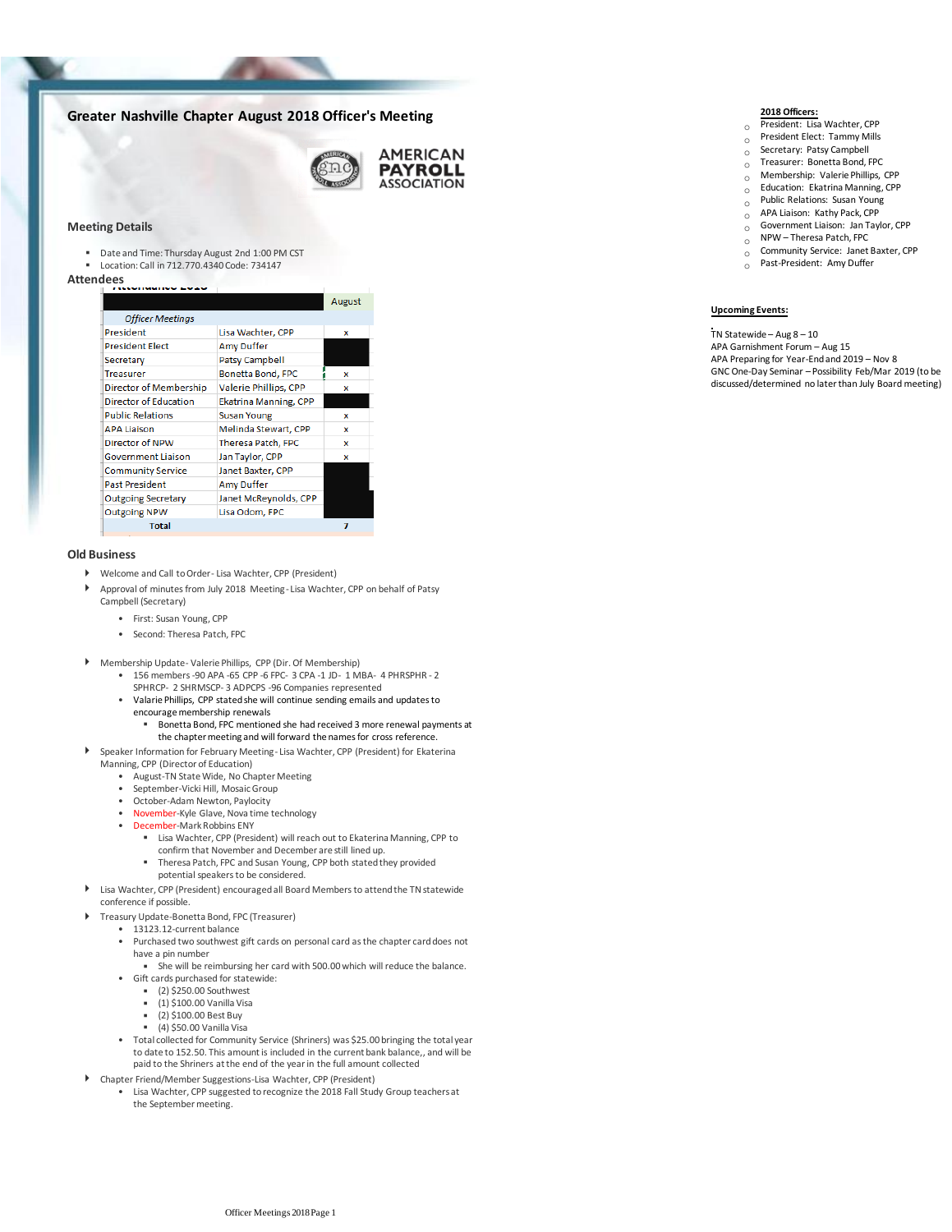# **Greater Nashville Chapter August 2018 Officer's Meeting**



#### **Meeting Details**

- Date and Time: Thursday August 2nd 1:00 PM CST
- Location: Call in 712.770.4340 Code: 734147

# Attendees

|                              |                              | August |
|------------------------------|------------------------------|--------|
| <b>Officer Meetings</b>      |                              |        |
| President                    | Lisa Wachter, CPP            | x      |
| <b>President Elect</b>       | Amy Duffer                   |        |
| Secretary                    | <b>Patsy Campbell</b>        |        |
| <b>Treasurer</b>             | Bonetta Bond, FPC            | x      |
| Director of Membership       | Valerie Phillips, CPP        | x      |
| <b>Director of Education</b> | <b>Ekatrina Manning, CPP</b> |        |
| <b>Public Relations</b>      | <b>Susan Young</b>           | x      |
| <b>APA Liaison</b>           | Melinda Stewart, CPP         | x      |
| Director of NPW              | Theresa Patch, FPC           | x      |
| <b>Government Liaison</b>    | Jan Taylor, CPP              | x      |
| <b>Community Service</b>     | Janet Baxter, CPP            |        |
| <b>Past President</b>        | <b>Amy Duffer</b>            |        |
| <b>Outgoing Secretary</b>    | Janet McReynolds, CPP        |        |
| <b>Outgoing NPW</b>          | Lisa Odom, FPC               |        |
| <b>Total</b>                 |                              |        |

#### **Old Business**

Þ

- Welcome and Call to Order- Lisa Wachter, CPP (President)
- Approval of minutes from July 2018 Meeting- Lisa Wachter, CPP on behalf of Patsy Campbell (Secretary)
	- First: Susan Young, CPP
	- Second: Theresa Patch, FPC
- 
- Membership Update- Valerie Phillips, CPP (Dir. Of Membership)<br>• 156 members -90 APA -65 CPP -6 FPC- 3 CPA -1 JD- 1 MBA- 4 PHRSPHR 2 SPHRCP- 2 SHRMSCP- 3 ADPCPS -96 Companies represented
	- Valarie Phillips, CPP stated she will continue sending emails and updates to encourage membership renewals •
		- Bonetta Bond, FPC mentioned she had received 3 more renewal payments at the chapter meeting and will forward the names for cross reference. ▪
	- Speaker Information for February Meeting- Lisa Wachter, CPP (President) for Ekaterina Manning, CPP (Director of Education)
		- August-TN State Wide, No Chapter Meeting
		- September-Vicki Hill, Mosaic Group
		- October-Adam Newton, Paylocity
		- November-Kyle Glave, Nova time technology
		- December-Mark Robbins ENY
			- Lisa Wachter, CPP (President) will reach out to Ekaterina Manning, CPP to confirm that November and December are still lined up.
			- **Theresa Patch, FPC and Susan Young, CPP both stated they provided**
		- potential speakers to be considered.
- Lisa Wachter, CPP (President) encouraged all Board Members to attend the TN statewide conference if possible.
- Treasury Update-Bonetta Bond, FPC (Treasurer)
	- 13123.12-current balance
	- Purchased two southwest gift cards on personal card as the chapter card does not have a pin number
	- She will be reimbursing her card with 500.00 which will reduce the balance. • Gift cards purchased for statewide:
		- (2) \$250.00 Southwest
		- $\overline{1}$  (1) \$100.00 Vanilla Visa
		- (2) \$100.00 Best Buy
		- $(4)$  \$50.00 Vanilla Visa
	- Total collected for Community Service (Shriners) was \$25.00 bringing the total year to date to 152.50. This amount is included in the current bank balance,, and will be paid to the Shriners at the end of the year in the full amount collected
- Chapter Friend/Member Suggestions-Lisa Wachter, CPP (President)
	- Lisa Wachter, CPP suggested to recognize the 2018 Fall Study Group teachers at the September meeting. •

## **2018 Officers:**

- o President: Lisa Wachter, CPP
- $\circ$  President Elect: Tammy Mills
- o Secretary: Patsy Campbell
- $\circ$  Treasurer: Bonetta Bond, FPC
- $\circ$  Membership: Valerie Phillips, CPP
- $\circ$  Education: Ekatrina Manning, CPP  $\circ$  Public Relations: Susan Young
- o APA Liaison: Kathy Pack, CPP
- $\overline{O}$  Government Liaison: Jan Taylor, CPP
- $\circ$  NPW Theresa Patch, FPC
- $\sum_{\substack{0 \ 0}}$  Community Service: Janet Baxter, CPP
	- Past-President: Amy Duffer
	-

## **Upcoming Events:**

TN Statewide – Aug 8 – 10

APA Garnishment Forum – Aug 15 APA Preparing for Year-End and 2019 – Nov 8 GNC One-Day Seminar – Possibility Feb/Mar 2019 (to be discussed/determined no later than July Board meeting)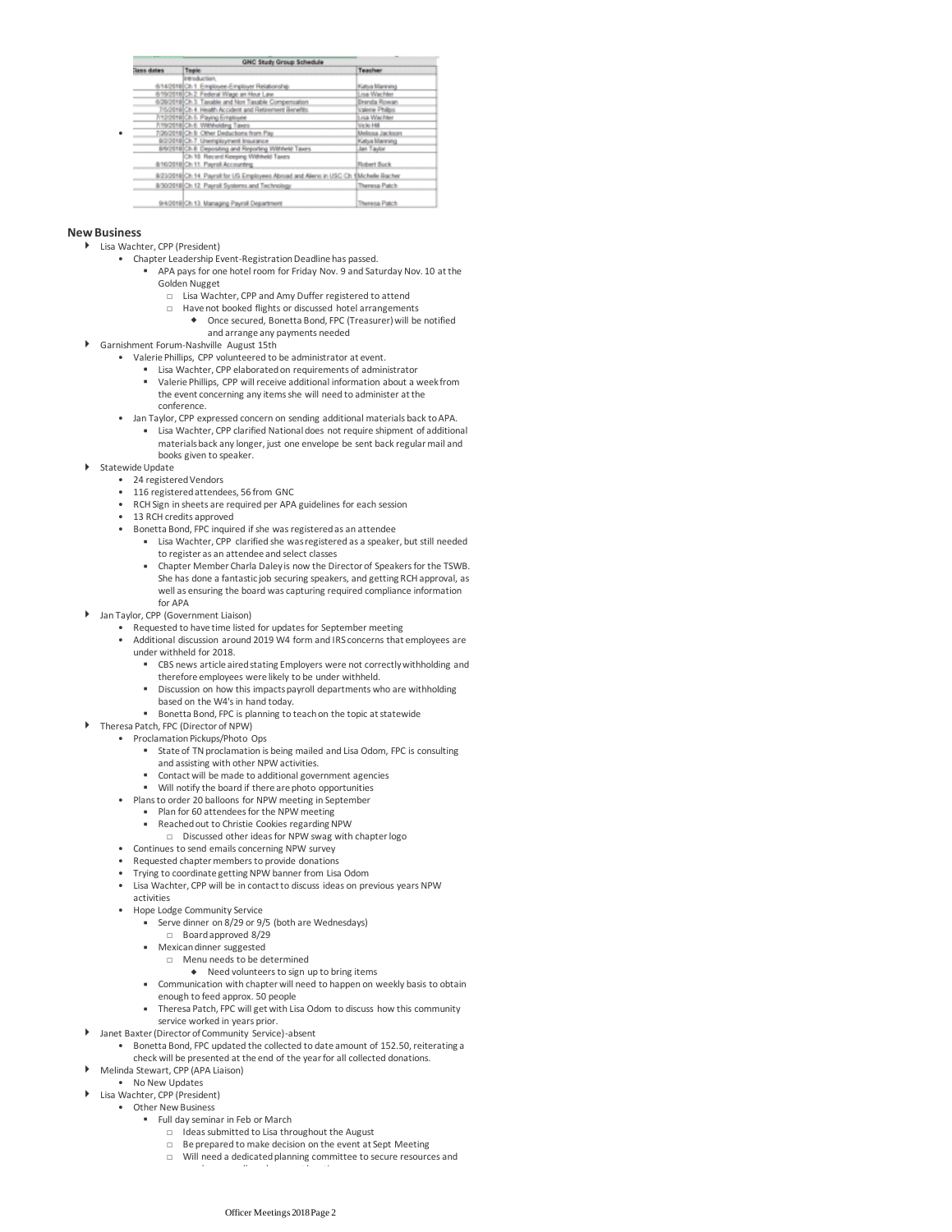| <b>GNC Study Group Schedule</b> |                                                                                        |                      |
|---------------------------------|----------------------------------------------------------------------------------------|----------------------|
| lass dates                      | Teple                                                                                  | Teacher              |
|                                 | introduction.                                                                          |                      |
|                                 | 6/14/2018 Ch 1. Employee Employer Relationship                                         | Katsa Manning        |
|                                 | 6/19/2018 Ch 2. Federal Wage an Hour Law                                               | Lisa Wachter         |
|                                 | 6/20/2018 Ch 3. Taxable and Non Taxable Compensation                                   | Brenda Rowan         |
|                                 | 76/2019 Ch 4. Health Accident and Retirement Benefits.                                 | Valene Philips       |
|                                 | <b>7/12/2018 Ch. 5. Paying Employee</b>                                                | Lisa Wachter         |
|                                 | http://taich.c. Withholding Taxes                                                      | Welk Hill            |
|                                 | 7/26/2018 Ch 9. Other Deductions from Pay                                              | Melissa Jackson      |
|                                 | 8/2/2018 Ch.7 Unemployment Insurance                                                   | Katya Manning        |
|                                 | 89/2018 Ch 8. Deposing and Reporting Withheld Taxes                                    | Jan Taylor           |
|                                 | Ch 10. Record Keeping Withheld Taxes                                                   |                      |
|                                 | 816/2018 Ch 11. Payrol Accounting                                                      | <b>Robert Buck</b>   |
|                                 | 9/23/2019 Ch 14 Payrall for US Employees Abroad and Aliens in USC Ch 1 Michelle Bacher |                      |
|                                 | 8/30/2018 Ch 12. Payrall Systems and Technology                                        | <b>Theresa Patch</b> |
|                                 |                                                                                        |                      |
|                                 | 9/4/2018 Ch 13. Managing Payroll Department                                            | <b>Theresa Patch</b> |

#### **New Business**

•

Lisa Wachter, CPP (President)

- Chapter Leadership Event-Registration Deadline has passed.
	- APA pays for one hotel room for Friday Nov. 9 and Saturday Nov. 10 at the Golden Nugget ▪
		- □ Lisa Wachter, CPP and Amy Duffer registered to attend
		- □ Have not booked flights or discussed hotel arrangements
			- Once secured, Bonetta Bond, FPC (Treasurer) will be notified and arrange any payments needed
- Garnishment Forum-Nashville August 15th
	- Valerie Phillips, CPP volunteered to be administrator at event.
		- Lisa Wachter, CPP elaborated on requirements of administrator
		- Valerie Phillips, CPP will receive additional information about a week from the event concerning any items she will need to administer at the conference.
	- Jan Taylor, CPP expressed concern on sending additional materials back to APA.
		- Lisa Wachter, CPP clarified National does not require shipment of additional materials back any longer, just one envelope be sent back regular mail and books given to speaker.
- ▶ Statewide Update
	- 24 registered Vendors
		- 116 registered attendees, 56 from GNC
		- RCH Sign in sheets are required per APA guidelines for each session
		- 13 RCH credits approved
		- Bonetta Bond, FPC inquired if she was registered as an attendee
			- **EXECT:** Lisa Wachter, CPP clarified she was registered as a speaker, but still needed to register as an attendee and select classes
			- Chapter Member Charla Daley is now the Director of Speakers for the TSWB. She has done a fantastic job securing speakers, and getting RCH approval, as well as ensuring the board was capturing required compliance information for APA ▪
- Jan Taylor, CPP (Government Liaison)
	- Requested to have time listed for updates for September meeting
		- Additional discussion around 2019 W4 form and IRS concerns that employees are under withheld for 2018.
			- CBS news article aired stating Employers were not correctly withholding and therefore employees were likely to be under withheld.
			- Discussion on how this impacts payroll departments who are withholding
			- based on the W4's in hand today.
			- Bonetta Bond, FPC is planning to teach on the topic at statewide
- ▶ Theresa Patch, FPC (Director of NPW)
- Proclamation Pickups/Photo Ops
	- State of TN proclamation is being mailed and Lisa Odom, FPC is consulting and assisting with other NPW activities.
	- Contact will be made to additional government agencies
	- Will notify the board if there are photo opportunities
	- Plans to order 20 balloons for NPW meeting in September
		- Plan for 60 attendees for the NPW meeting
			- Reached out to Christie Cookies regarding NPW
				- □ Discussed other ideas for NPW swag with chapter logo
	- Continues to send emails concerning NPW survey
	- Requested chapter members to provide donations
	- Trying to coordinate getting NPW banner from Lisa Odom
	- Lisa Wachter, CPP will be in contact to discuss ideas on previous years NPW •
	- activities
	- Hope Lodge Community Service
		- Serve dinner on 8/29 or 9/5 (both are Wednesdays)
		- □ Board approved 8/29
		- Mexican dinner suggested
			- □ Menu needs to be determined
		- Need volunteers to sign up to bring items
		- Communication with chapter will need to happen on weekly basis to obtain enough to feed approx. 50 people
		- Theresa Patch, FPC will get with Lisa Odom to discuss how this community service worked in years prior.
- Janet Baxter (Director of Community Service)-absent
- Bonetta Bond, FPC updated the collected to date amount of 152.50, reiterating a check will be presented at the end of the year for all collected donations. •
- Melinda Stewart, CPP (APA Liaison)
- No New Updates
- Other New Business Lisa Wachter, CPP (President)
	- **EXECUTE:** Full day seminar in Feb or March
		- □ Ideas submitted to Lisa throughout the August
		- □ Be prepared to make decision on the event at Sept Meeting
		- □ Will need a dedicated planning committee to secure resources and